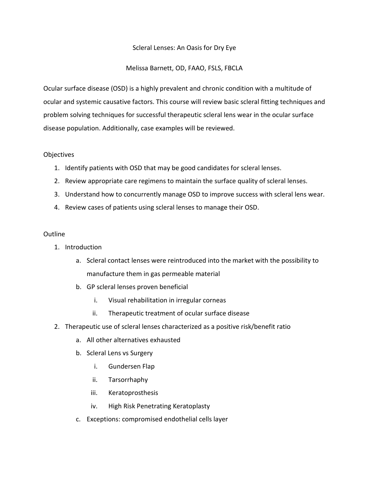## Scleral Lenses: An Oasis for Dry Eye

## Melissa Barnett, OD, FAAO, FSLS, FBCLA

Ocular surface disease (OSD) is a highly prevalent and chronic condition with a multitude of ocular and systemic causative factors. This course will review basic scleral fitting techniques and problem solving techniques for successful therapeutic scleral lens wear in the ocular surface disease population. Additionally, case examples will be reviewed.

## **Objectives**

- 1. Identify patients with OSD that may be good candidates for scleral lenses.
- 2. Review appropriate care regimens to maintain the surface quality of scleral lenses.
- 3. Understand how to concurrently manage OSD to improve success with scleral lens wear.
- 4. Review cases of patients using scleral lenses to manage their OSD.

## Outline

- 1. Introduction
	- a. Scleral contact lenses were reintroduced into the market with the possibility to manufacture them in gas permeable material
	- b. GP scleral lenses proven beneficial
		- i. Visual rehabilitation in irregular corneas
		- ii. Therapeutic treatment of ocular surface disease
- 2. Therapeutic use of scleral lenses characterized as a positive risk/benefit ratio
	- a. All other alternatives exhausted
	- b. Scleral Lens vs Surgery
		- i. Gundersen Flap
		- ii. Tarsorrhaphy
		- iii. Keratoprosthesis
		- iv. High Risk Penetrating Keratoplasty
	- c. Exceptions: compromised endothelial cells layer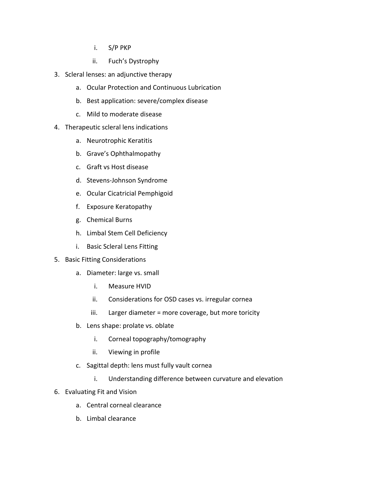- i. S/P PKP
- ii. Fuch's Dystrophy
- 3. Scleral lenses: an adjunctive therapy
	- a. Ocular Protection and Continuous Lubrication
	- b. Best application: severe/complex disease
	- c. Mild to moderate disease
- 4. Therapeutic scleral lens indications
	- a. Neurotrophic Keratitis
	- b. Grave's Ophthalmopathy
	- c. Graft vs Host disease
	- d. Stevens-Johnson Syndrome
	- e. Ocular Cicatricial Pemphigoid
	- f. Exposure Keratopathy
	- g. Chemical Burns
	- h. Limbal Stem Cell Deficiency
	- i. Basic Scleral Lens Fitting
- 5. Basic Fitting Considerations
	- a. Diameter: large vs. small
		- i. Measure HVID
		- ii. Considerations for OSD cases vs. irregular cornea
		- iii. Larger diameter = more coverage, but more toricity
	- b. Lens shape: prolate vs. oblate
		- i. Corneal topography/tomography
		- ii. Viewing in profile
	- c. Sagittal depth: lens must fully vault cornea
		- i. Understanding difference between curvature and elevation
- 6. Evaluating Fit and Vision
	- a. Central corneal clearance
	- b. Limbal clearance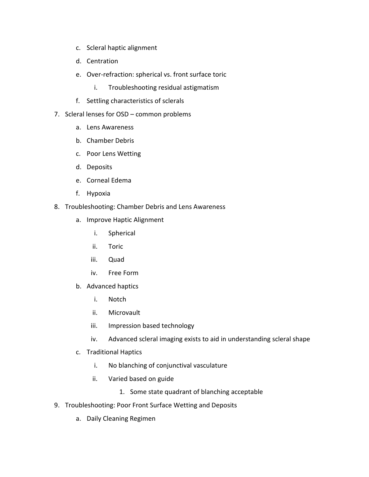- c. Scleral haptic alignment
- d. Centration
- e. Over-refraction: spherical vs. front surface toric
	- i. Troubleshooting residual astigmatism
- f. Settling characteristics of sclerals
- 7. Scleral lenses for OSD common problems
	- a. Lens Awareness
	- b. Chamber Debris
	- c. Poor Lens Wetting
	- d. Deposits
	- e. Corneal Edema
	- f. Hypoxia
- 8. Troubleshooting: Chamber Debris and Lens Awareness
	- a. Improve Haptic Alignment
		- i. Spherical
		- ii. Toric
		- iii. Quad
		- iv. Free Form
	- b. Advanced haptics
		- i. Notch
		- ii. Microvault
		- iii. Impression based technology
		- iv. Advanced scleral imaging exists to aid in understanding scleral shape
	- c. Traditional Haptics
		- i. No blanching of conjunctival vasculature
		- ii. Varied based on guide
			- 1. Some state quadrant of blanching acceptable
- 9. Troubleshooting: Poor Front Surface Wetting and Deposits
	- a. Daily Cleaning Regimen